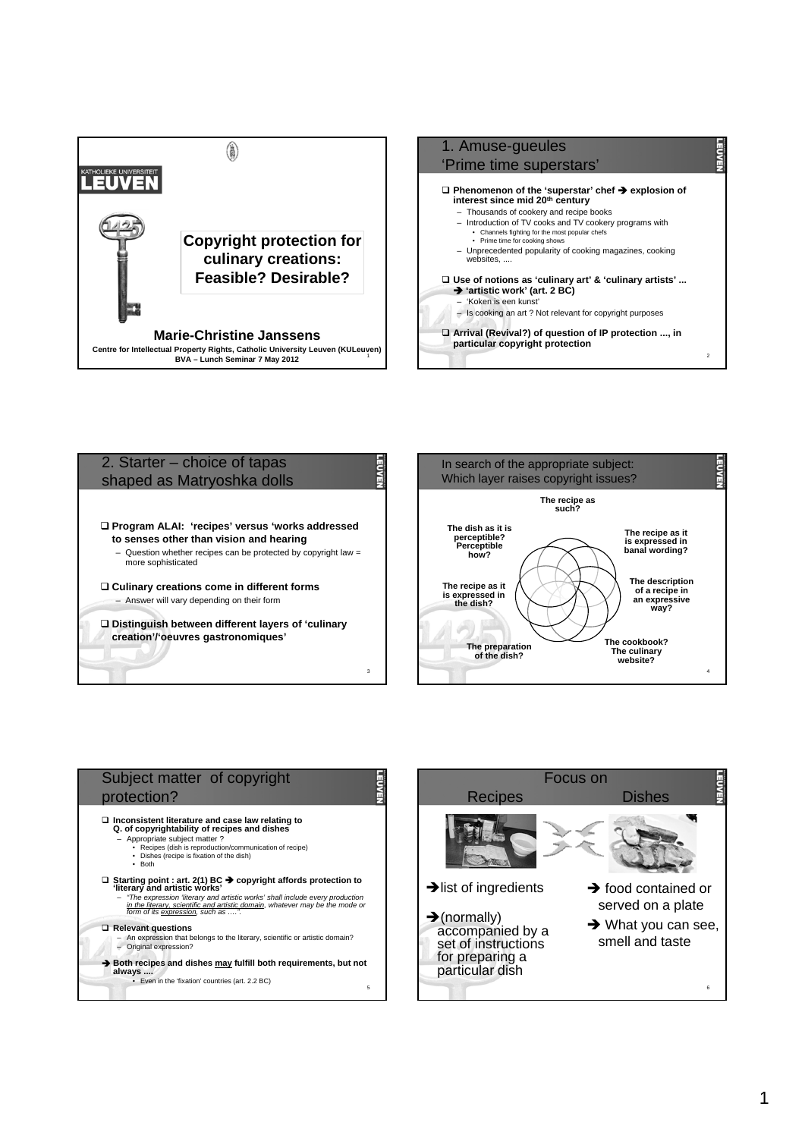









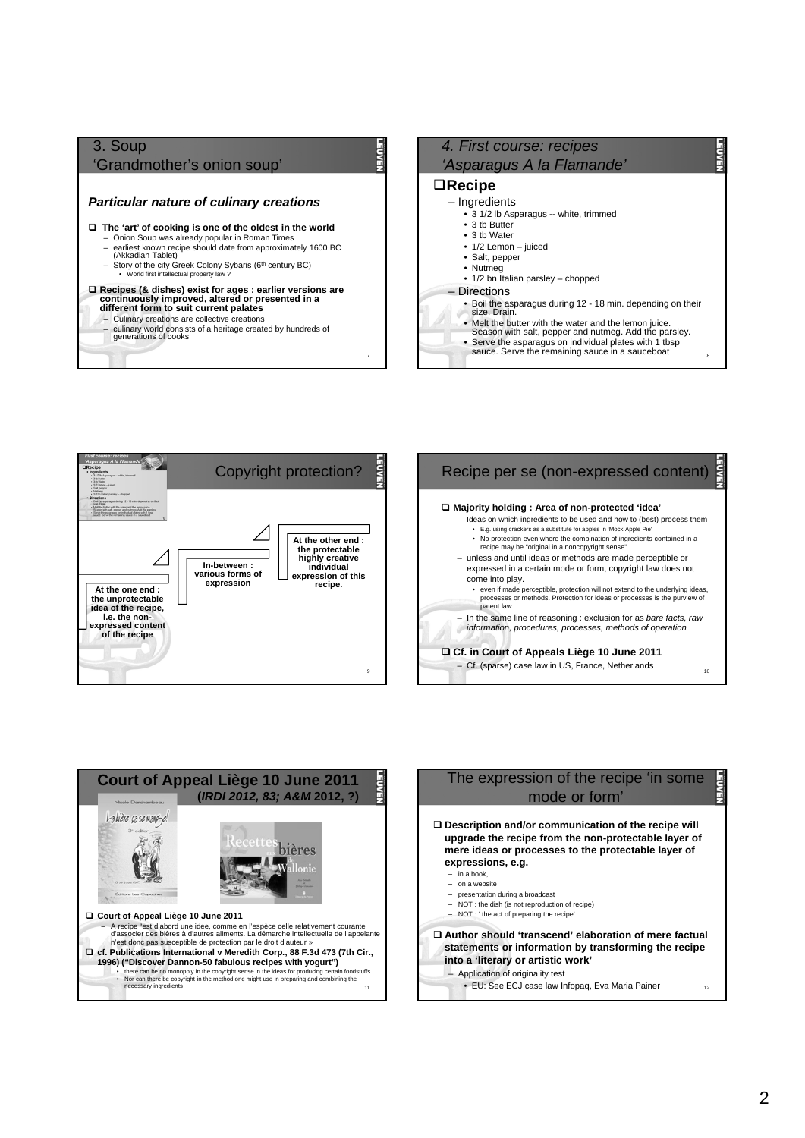# 3. Soup 'Grandmother's onion soup' *Particular nature of culinary creations* **The 'art' of cooking is one of the oldest in the world** – Onion Soup was already popular in Roman Times – earliest known recipe should date from approximately 1600 BC (Akkadian Tablet) – Story of the city Greek Colony Sybaris (6th century BC) World first intellectual property la **Recipes (& dishes) exist for ages : earlier versions are continuously improved, altered or presented in a different form to suit current palates** – Culinary creations are collective creations

– culinary world consists of a heritage created by hundreds of generations of cooks

7

### *4. First course: recipes 'Asparagus A la Flamande'*  **Recipe** – Ingredients • 3 1/2 lb Asparagus -- white, trimmed • 3 tb Butter • 3 tb Water • 1/2 Lemon – juiced • Salt, pepper • Nutmeg • 1/2 bn Italian parsley – chopped **Directions** • Boil the asparagus during 12 - 18 min. depending on their size. Drain. • Melt the butter with the water and the lemon juice. Season with salt, pepper and nutmeg. Add the parsley. • Serve the asparagus on individual plates with 1 tbsp<br>
sauce. Serve the remaining sauce in a sauceboat







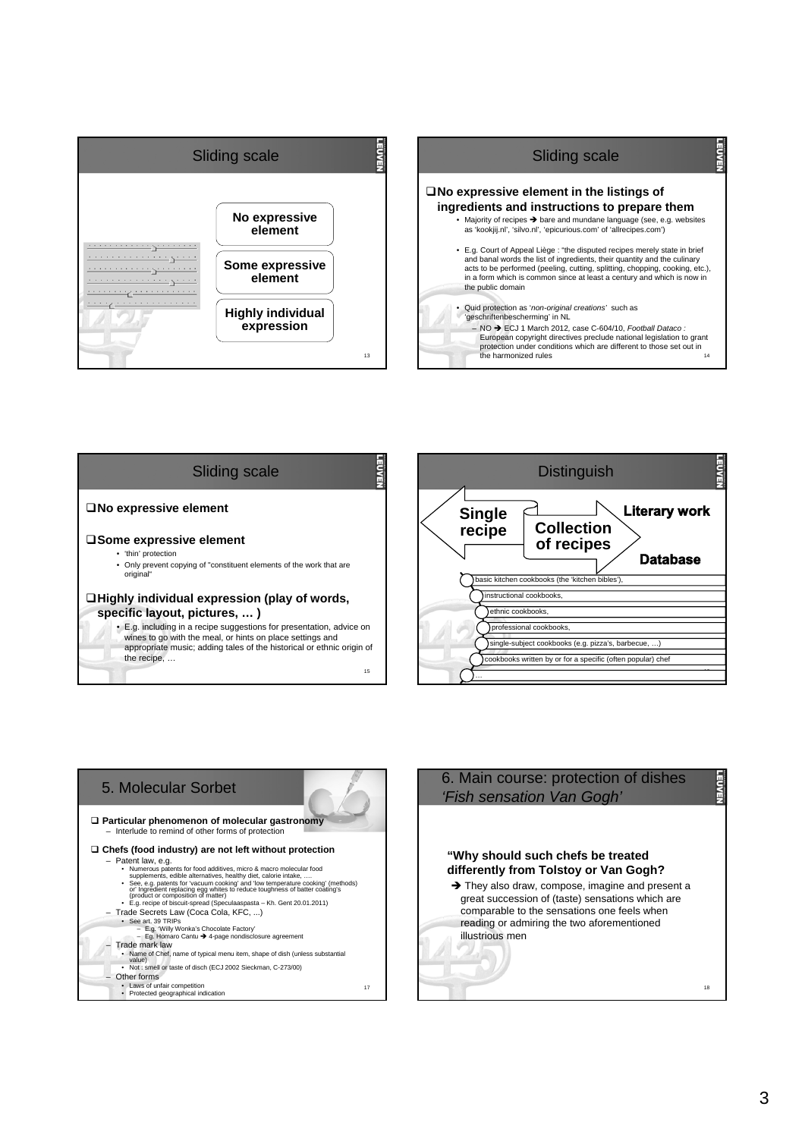



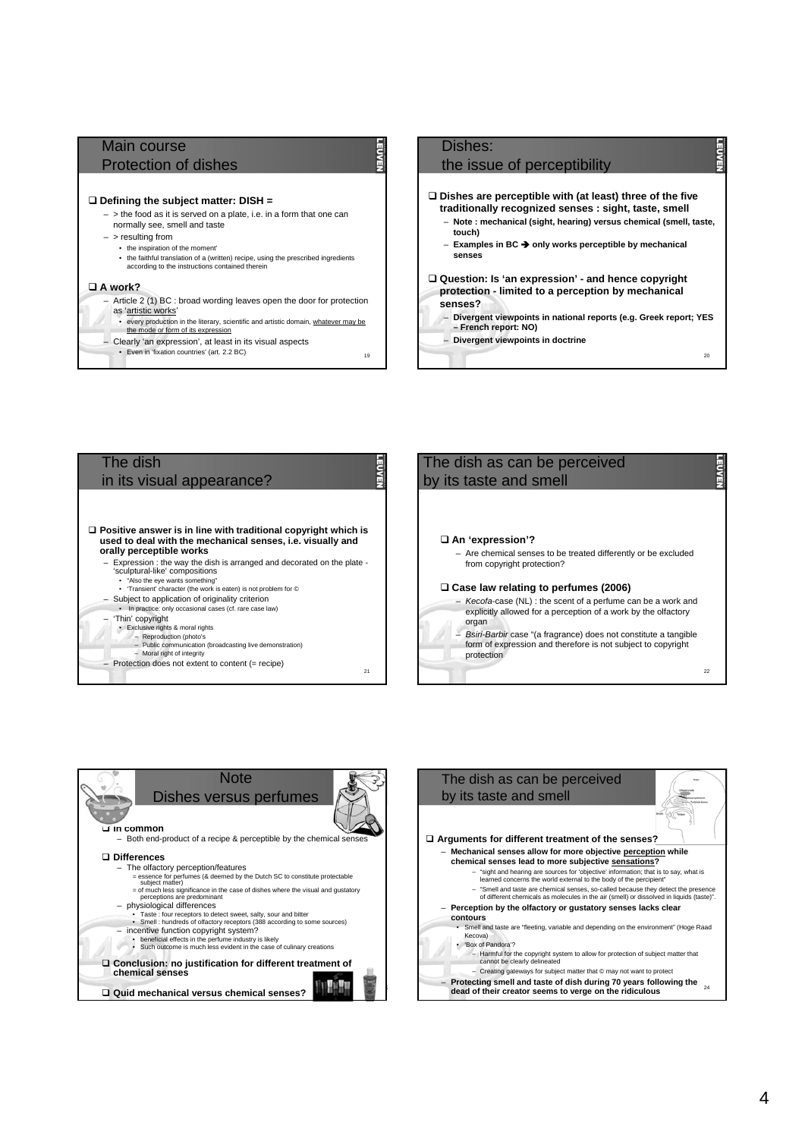## Main course Protection of dishes

#### **Defining the subject matter: DISH =**

 $\sim$   $\sim$  the food as it is served on a plate, i.e. in a form that one can normally see, smell and taste

- > resulting from
	- the inspiration of the moment'
	- the faithful translation of a (written) recipe, using the prescribed ingredients according to the instructions contained therein

#### **A work?**

– Article 2 (1) BC : broad wording leaves open the door for protection as 'artistic works'

- every production in the literary, scientific and artistic domain, whatever may be the mode or form of its expression
- Clearly 'an expression', at least in its visual aspects
	- Even in 'fixation countries' (art. 2.2 BC) 19

# Dishes:

### the issue of perceptibility

- **Dishes are perceptible with (at least) three of the five traditionally recognized senses : sight, taste, smell**
	- **Note : mechanical (sight, hearing) versus chemical (smell, taste, touch)**
	- **Examples in BC only works perceptible by mechanical senses**
- **Question: Is 'an expression' and hence copyright protection - limited to a perception by mechanical senses?**
- **Divergent viewpoints in national reports (e.g. Greek report; YES – French report: NO)**
- **Divergent viewpoints in doctrine**

 $20$